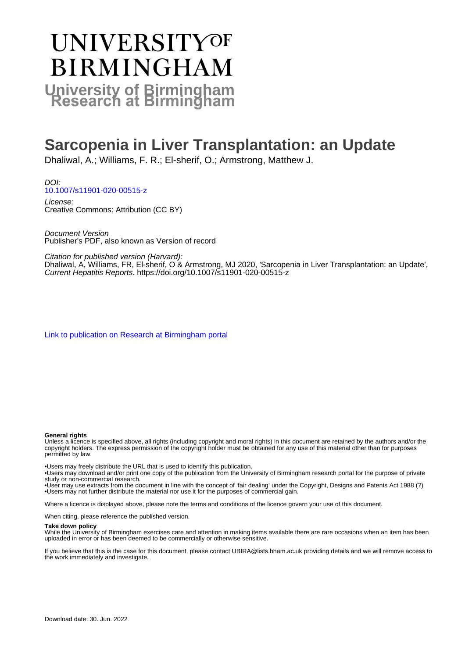# **UNIVERSITYOF BIRMINGHAM University of Birmingham**

## **Sarcopenia in Liver Transplantation: an Update**

Dhaliwal, A.; Williams, F. R.; El-sherif, O.; Armstrong, Matthew J.

DOI: [10.1007/s11901-020-00515-z](https://doi.org/10.1007/s11901-020-00515-z)

License: Creative Commons: Attribution (CC BY)

Document Version Publisher's PDF, also known as Version of record

Citation for published version (Harvard):

Dhaliwal, A, Williams, FR, El-sherif, O & Armstrong, MJ 2020, 'Sarcopenia in Liver Transplantation: an Update', Current Hepatitis Reports.<https://doi.org/10.1007/s11901-020-00515-z>

[Link to publication on Research at Birmingham portal](https://birmingham.elsevierpure.com/en/publications/1d1586f5-b15f-4dbf-952e-01416f7792c4)

#### **General rights**

Unless a licence is specified above, all rights (including copyright and moral rights) in this document are retained by the authors and/or the copyright holders. The express permission of the copyright holder must be obtained for any use of this material other than for purposes permitted by law.

• Users may freely distribute the URL that is used to identify this publication.

• Users may download and/or print one copy of the publication from the University of Birmingham research portal for the purpose of private study or non-commercial research.

• User may use extracts from the document in line with the concept of 'fair dealing' under the Copyright, Designs and Patents Act 1988 (?) • Users may not further distribute the material nor use it for the purposes of commercial gain.

Where a licence is displayed above, please note the terms and conditions of the licence govern your use of this document.

When citing, please reference the published version.

#### **Take down policy**

While the University of Birmingham exercises care and attention in making items available there are rare occasions when an item has been uploaded in error or has been deemed to be commercially or otherwise sensitive.

If you believe that this is the case for this document, please contact UBIRA@lists.bham.ac.uk providing details and we will remove access to the work immediately and investigate.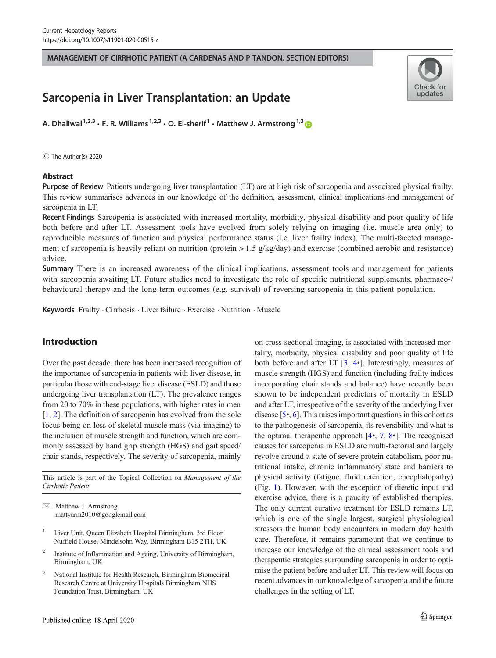MANAGEMENT OF CIRRHOTIC PATIENT (A CARDENAS AND P TANDON, SECTION EDITORS)

### Sarcopenia in Liver Transplantation: an Update

A. Dhaliwal<sup>1,2,3</sup>  $\cdot$  F. R. Williams<sup>1,2,3</sup>  $\cdot$  O. El-sherif<sup>1</sup>  $\cdot$  Matthew J. Armstrong<sup>1,3</sup>

C The Author(s) 2020

#### **Abstract**



Purpose of Review Patients undergoing liver transplantation (LT) are at high risk of sarcopenia and associated physical frailty. This review summarises advances in our knowledge of the definition, assessment, clinical implications and management of sarcopenia in LT.

Recent Findings Sarcopenia is associated with increased mortality, morbidity, physical disability and poor quality of life both before and after LT. Assessment tools have evolved from solely relying on imaging (i.e. muscle area only) to reproducible measures of function and physical performance status (i.e. liver frailty index). The multi-faceted management of sarcopenia is heavily reliant on nutrition (protein  $> 1.5$  g/kg/day) and exercise (combined aerobic and resistance) advice.

Summary There is an increased awareness of the clinical implications, assessment tools and management for patients with sarcopenia awaiting LT. Future studies need to investigate the role of specific nutritional supplements, pharmaco-/ behavioural therapy and the long-term outcomes (e.g. survival) of reversing sarcopenia in this patient population.

Keywords Frailty . Cirrhosis . Liver failure . Exercise . Nutrition . Muscle

#### Introduction

Over the past decade, there has been increased recognition of the importance of sarcopenia in patients with liver disease, in particular those with end-stage liver disease (ESLD) and those undergoing liver transplantation (LT). The prevalence ranges from 20 to 70% in these populations, with higher rates in men [\[1](#page-7-0), [2\]](#page-7-0). The definition of sarcopenia has evolved from the sole focus being on loss of skeletal muscle mass (via imaging) to the inclusion of muscle strength and function, which are commonly assessed by hand grip strength (HGS) and gait speed/ chair stands, respectively. The severity of sarcopenia, mainly

This article is part of the Topical Collection on Management of the Cirrhotic Patient

 $\boxtimes$  Matthew J. Armstrong [mattyarm2010@googlemail.com](mailto:mattyarm2010@googlemail.com)

- <sup>1</sup> Liver Unit, Queen Elizabeth Hospital Birmingham, 3rd Floor, Nuffield House, Mindelsohn Way, Birmingham B15 2TH, UK
- <sup>2</sup> Institute of Inflammation and Ageing, University of Birmingham, Birmingham, UK
- <sup>3</sup> National Institute for Health Research, Birmingham Biomedical Research Centre at University Hospitals Birmingham NHS Foundation Trust, Birmingham, UK

on cross-sectional imaging, is associated with increased mortality, morbidity, physical disability and poor quality of life both before and after LT [[3,](#page-7-0) [4](#page-7-0)•]. Interestingly, measures of muscle strength (HGS) and function (including frailty indices incorporating chair stands and balance) have recently been shown to be independent predictors of mortality in ESLD and after LT, irrespective of the severity of the underlying liver disease [\[5](#page-7-0)•, [6](#page-7-0)]. This raises important questions in this cohort as to the pathogenesis of sarcopenia, its reversibility and what is the optimal therapeutic approach  $[4, 7, 8]$  $[4, 7, 8]$  $[4, 7, 8]$  $[4, 7, 8]$  $[4, 7, 8]$  $[4, 7, 8]$ . The recognised causes for sarcopenia in ESLD are multi-factorial and largely revolve around a state of severe protein catabolism, poor nutritional intake, chronic inflammatory state and barriers to physical activity (fatigue, fluid retention, encephalopathy) (Fig. [1](#page-2-0)). However, with the exception of dietetic input and exercise advice, there is a paucity of established therapies. The only current curative treatment for ESLD remains LT, which is one of the single largest, surgical physiological stressors the human body encounters in modern day health care. Therefore, it remains paramount that we continue to increase our knowledge of the clinical assessment tools and therapeutic strategies surrounding sarcopenia in order to optimise the patient before and after LT. This review will focus on recent advances in our knowledge of sarcopenia and the future challenges in the setting of LT.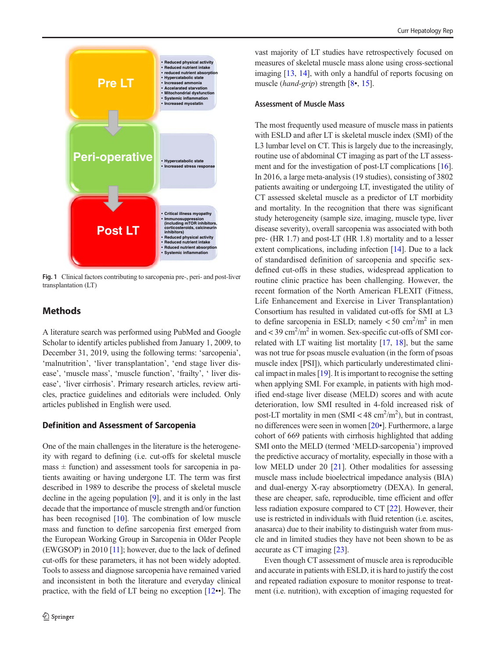<span id="page-2-0"></span>

Fig. 1 Clinical factors contributing to sarcopenia pre-, peri- and post-liver transplantation (LT)

#### **Methods**

A literature search was performed using PubMed and Google Scholar to identify articles published from January 1, 2009, to December 31, 2019, using the following terms: 'sarcopenia', 'malnutrition', 'liver transplantation', 'end stage liver disease', 'muscle mass', 'muscle function', 'frailty', ' liver disease', 'liver cirrhosis'. Primary research articles, review articles, practice guidelines and editorials were included. Only articles published in English were used.

#### Definition and Assessment of Sarcopenia

One of the main challenges in the literature is the heterogeneity with regard to defining (i.e. cut-offs for skeletal muscle  $mass ± function)$  and assessment tools for sarcopenia in patients awaiting or having undergone LT. The term was first described in 1989 to describe the process of skeletal muscle decline in the ageing population [\[9\]](#page-8-0), and it is only in the last decade that the importance of muscle strength and/or function has been recognised [[10\]](#page-8-0). The combination of low muscle mass and function to define sarcopenia first emerged from the European Working Group in Sarcopenia in Older People (EWGSOP) in 2010 [\[11](#page-8-0)]; however, due to the lack of defined cut-offs for these parameters, it has not been widely adopted. Tools to assess and diagnose sarcopenia have remained varied and inconsistent in both the literature and everyday clinical practice, with the field of LT being no exception [[12](#page-8-0)••]. The

vast majority of LT studies have retrospectively focused on measures of skeletal muscle mass alone using cross-sectional imaging [\[13,](#page-8-0) [14\]](#page-8-0), with only a handful of reports focusing on muscle (hand-grip) strength [[8](#page-7-0)•, [15\]](#page-8-0).

#### Assessment of Muscle Mass

The most frequently used measure of muscle mass in patients with ESLD and after LT is skeletal muscle index (SMI) of the L3 lumbar level on CT. This is largely due to the increasingly, routine use of abdominal CT imaging as part of the LT assessment and for the investigation of post-LT complications [[16\]](#page-8-0). In 2016, a large meta-analysis (19 studies), consisting of 3802 patients awaiting or undergoing LT, investigated the utility of CT assessed skeletal muscle as a predictor of LT morbidity and mortality. In the recognition that there was significant study heterogeneity (sample size, imaging, muscle type, liver disease severity), overall sarcopenia was associated with both pre- (HR 1.7) and post-LT (HR 1.8) mortality and to a lesser extent complications, including infection [\[14](#page-8-0)]. Due to a lack of standardised definition of sarcopenia and specific sexdefined cut-offs in these studies, widespread application to routine clinic practice has been challenging. However, the recent formation of the North American FLEXIT (Fitness, Life Enhancement and Exercise in Liver Transplantation) Consortium has resulted in validated cut-offs for SMI at L3 to define sarcopenia in ESLD; namely  $< 50 \text{ cm}^2/\text{m}^2$  in men and  $<$  39 cm<sup>2</sup>/m<sup>2</sup> in women. Sex-specific cut-offs of SMI correlated with LT waiting list mortality [\[17,](#page-8-0) [18](#page-8-0)], but the same was not true for psoas muscle evaluation (in the form of psoas muscle index [PSI]), which particularly underestimated clinical impact in males [\[19\]](#page-8-0). It is important to recognise the setting when applying SMI. For example, in patients with high modified end-stage liver disease (MELD) scores and with acute deterioration, low SMI resulted in 4-fold increased risk of post-LT mortality in men  $(SMI < 48 \text{ cm}^2/\text{m}^2)$ , but in contrast, no differences were seen in women [[20](#page-8-0)•]. Furthermore, a large cohort of 669 patients with cirrhosis highlighted that adding SMI onto the MELD (termed 'MELD-sarcopenia') improved the predictive accuracy of mortality, especially in those with a low MELD under 20 [[21\]](#page-8-0). Other modalities for assessing muscle mass include bioelectrical impedance analysis (BIA) and dual-energy X-ray absorptiometry (DEXA). In general, these are cheaper, safe, reproducible, time efficient and offer less radiation exposure compared to CT [\[22\]](#page-8-0). However, their use is restricted in individuals with fluid retention (i.e. ascites, anasarca) due to their inability to distinguish water from muscle and in limited studies they have not been shown to be as accurate as CT imaging [\[23\]](#page-8-0).

Even though CT assessment of muscle area is reproducible and accurate in patients with ESLD, it is hard to justify the cost and repeated radiation exposure to monitor response to treatment (i.e. nutrition), with exception of imaging requested for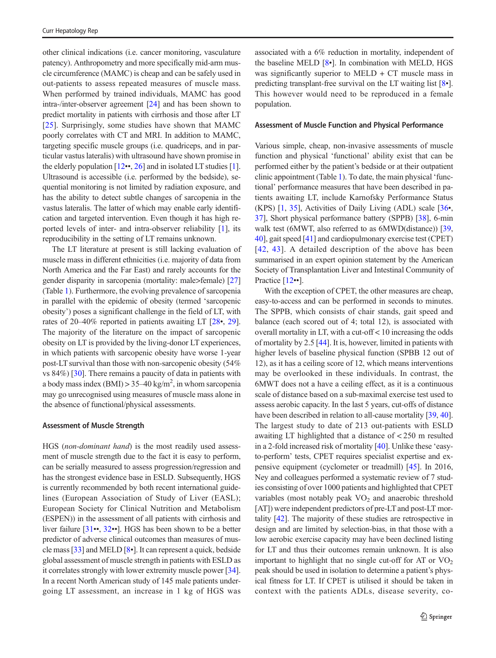other clinical indications (i.e. cancer monitoring, vasculature patency). Anthropometry and more specifically mid-arm muscle circumference (MAMC) is cheap and can be safely used in out-patients to assess repeated measures of muscle mass. When performed by trained individuals, MAMC has good intra-/inter-observer agreement [\[24\]](#page-8-0) and has been shown to predict mortality in patients with cirrhosis and those after LT [\[25](#page-8-0)]. Surprisingly, some studies have shown that MAMC poorly correlates with CT and MRI. In addition to MAMC, targeting specific muscle groups (i.e. quadriceps, and in particular vastus lateralis) with ultrasound have shown promise in the elderly population  $[12\cdot 0.26]$  $[12\cdot 0.26]$  $[12\cdot 0.26]$  $[12\cdot 0.26]$  and in isolated LT studies [[1\]](#page-7-0). Ultrasound is accessible (i.e. performed by the bedside), sequential monitoring is not limited by radiation exposure, and has the ability to detect subtle changes of sarcopenia in the vastus lateralis. The latter of which may enable early identification and targeted intervention. Even though it has high reported levels of inter- and intra-observer reliability [\[1](#page-7-0)], its reproducibility in the setting of LT remains unknown.

The LT literature at present is still lacking evaluation of muscle mass in different ethnicities (i.e. majority of data from North America and the Far East) and rarely accounts for the gender disparity in sarcopenia (mortality: male>female) [\[27\]](#page-8-0) (Table [1\)](#page-4-0). Furthermore, the evolving prevalence of sarcopenia in parallel with the epidemic of obesity (termed 'sarcopenic obesity') poses a significant challenge in the field of LT, with rates of 20–40% reported in patients awaiting LT [[28](#page-8-0)•, [29\]](#page-8-0). The majority of the literature on the impact of sarcopenic obesity on LT is provided by the living-donor LT experiences, in which patients with sarcopenic obesity have worse 1-year post-LT survival than those with non-sarcopenic obesity (54% vs 84%) [\[30](#page-8-0)]. There remains a paucity of data in patients with a body mass index (BMI) >  $35-40 \text{ kg/m}^2$ , in whom sarcopenia may go unrecognised using measures of muscle mass alone in the absence of functional/physical assessments.

#### Assessment of Muscle Strength

HGS (non-dominant hand) is the most readily used assessment of muscle strength due to the fact it is easy to perform, can be serially measured to assess progression/regression and has the strongest evidence base in ESLD. Subsequently, HGS is currently recommended by both recent international guidelines (European Association of Study of Liver (EASL); European Society for Clinical Nutrition and Metabolism (ESPEN)) in the assessment of all patients with cirrhosis and liver failure [[31](#page-8-0)••, [32](#page-8-0)••]. HGS has been shown to be a better predictor of adverse clinical outcomes than measures of muscle mass [\[33](#page-8-0)] and MELD [[8](#page-7-0)•]. It can represent a quick, bedside global assessment of muscle strength in patients with ESLD as it correlates strongly with lower extremity muscle power [[34\]](#page-8-0). In a recent North American study of 145 male patients undergoing LT assessment, an increase in 1 kg of HGS was

associated with a 6% reduction in mortality, independent of the baseline MELD [\[8](#page-7-0)•]. In combination with MELD, HGS was significantly superior to MELD  $+$  CT muscle mass in predicting transplant-free survival on the LT waiting list [\[8](#page-7-0)•]. This however would need to be reproduced in a female population.

#### Assessment of Muscle Function and Physical Performance

Various simple, cheap, non-invasive assessments of muscle function and physical 'functional' ability exist that can be performed either by the patient's bedside or at their outpatient clinic appointment (Table [1](#page-4-0)). To date, the main physical 'functional' performance measures that have been described in patients awaiting LT, include Karnofsky Performance Status (KPS) [\[1,](#page-7-0) [35\]](#page-8-0), Activities of Daily Living (ADL) scale [[36](#page-8-0)•, [37\]](#page-8-0), Short physical performance battery (SPPB) [\[38](#page-8-0)], 6-min walk test (6MWT, also referred to as 6MWD(distance)) [\[39,](#page-8-0) [40\]](#page-8-0), gait speed [[41\]](#page-8-0) and cardiopulmonary exercise test (CPET) [[42](#page-9-0), [43\]](#page-9-0). A detailed description of the above has been summarised in an expert opinion statement by the American Society of Transplantation Liver and Intestinal Community of Practice [[12](#page-8-0)••].

With the exception of CPET, the other measures are cheap, easy-to-access and can be performed in seconds to minutes. The SPPB, which consists of chair stands, gait speed and balance (each scored out of 4; total 12), is associated with overall mortality in LT, with a cut-off < 10 increasing the odds of mortality by 2.5 [[44](#page-9-0)]. It is, however, limited in patients with higher levels of baseline physical function (SPBB 12 out of 12), as it has a ceiling score of 12, which means interventions may be overlooked in these individuals. In contrast, the 6MWT does not a have a ceiling effect, as it is a continuous scale of distance based on a sub-maximal exercise test used to assess aerobic capacity. In the last 5 years, cut-offs of distance have been described in relation to all-cause mortality [\[39](#page-8-0), [40\]](#page-8-0). The largest study to date of 213 out-patients with ESLD awaiting LT highlighted that a distance of < 250 m resulted in a 2-fold increased risk of mortality [\[40\]](#page-8-0). Unlike these 'easyto-perform' tests, CPET requires specialist expertise and expensive equipment (cyclometer or treadmill) [\[45\]](#page-9-0). In 2016, Ney and colleagues performed a systematic review of 7 studies consisting of over 1000 patients and highlighted that CPET variables (most notably peak  $VO<sub>2</sub>$  and anaerobic threshold [AT]) were independent predictors of pre-LT and post-LT mortality [\[42\]](#page-9-0). The majority of these studies are retrospective in design and are limited by selection-bias, in that those with a low aerobic exercise capacity may have been declined listing for LT and thus their outcomes remain unknown. It is also important to highlight that no single cut-off for AT or  $VO<sub>2</sub>$ peak should be used in isolation to determine a patient's physical fitness for LT. If CPET is utilised it should be taken in context with the patients ADLs, disease severity, co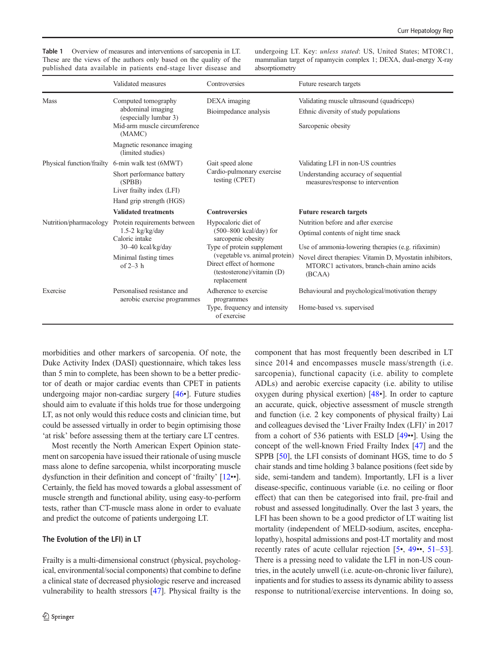<span id="page-4-0"></span>Table 1 Overview of measures and interventions of sarcopenia in LT. These are the views of the authors only based on the quality of the published data available in patients end-stage liver disease and

undergoing LT. Key: unless stated: US, United States; MTORC1, mammalian target of rapamycin complex 1; DEXA, dual-energy X-ray absorptiometry

|                        | Validated measures                                                                                                                                             | Controversies                                                                                                                         | Future research targets                                                                                                                                                 |
|------------------------|----------------------------------------------------------------------------------------------------------------------------------------------------------------|---------------------------------------------------------------------------------------------------------------------------------------|-------------------------------------------------------------------------------------------------------------------------------------------------------------------------|
| <b>Mass</b>            | Computed tomography<br>abdominal imaging<br>(especially lumbar 3)<br>Mid-arm muscle circumference<br>(MAMC)<br>Magnetic resonance imaging<br>(limited studies) | DEXA imaging<br>Bioimpedance analysis                                                                                                 | Validating muscle ultrasound (quadriceps)<br>Ethnic diversity of study populations<br>Sarcopenic obesity                                                                |
|                        | Physical function/frailty 6-min walk test (6MWT)<br>Short performance battery<br>(SPBB)<br>Liver frailty index (LFI)<br>Hand grip strength (HGS)               | Gait speed alone<br>Cardio-pulmonary exercise<br>testing (CPET)                                                                       | Validating LFI in non-US countries<br>Understanding accuracy of sequential<br>measures/response to intervention                                                         |
|                        | <b>Validated treatments</b>                                                                                                                                    | <b>Controversies</b>                                                                                                                  | <b>Future research targets</b>                                                                                                                                          |
| Nutrition/pharmacology | Protein requirements between<br>1.5-2 $kg/kg/day$<br>Caloric intake                                                                                            | Hypocaloric diet of<br>$(500-800 \text{ kcal/day})$ for<br>sarcopenic obesity                                                         | Nutrition before and after exercise<br>Optimal contents of night time snack                                                                                             |
|                        | $30-40$ kcal/kg/day<br>Minimal fasting times<br>of $2-3$ h                                                                                                     | Type of protein supplement<br>(vegetable vs. animal protein)<br>Direct effect of hormone<br>(testosterone)/vitamin (D)<br>replacement | Use of ammonia-lowering therapies (e.g. rifaximin)<br>Novel direct therapies: Vitamin D, Myostatin inhibitors,<br>MTORC1 activators, branch-chain amino acids<br>(BCAA) |
| Exercise               | Personalised resistance and<br>aerobic exercise programmes                                                                                                     | Adherence to exercise<br>programmes<br>Type, frequency and intensity<br>of exercise                                                   | Behavioural and psychological/motivation therapy<br>Home-based vs. supervised                                                                                           |

morbidities and other markers of sarcopenia. Of note, the Duke Activity Index (DASI) questionnaire, which takes less than 5 min to complete, has been shown to be a better predictor of death or major cardiac events than CPET in patients undergoing major non-cardiac surgery [[46](#page-9-0)•]. Future studies should aim to evaluate if this holds true for those undergoing LT, as not only would this reduce costs and clinician time, but could be assessed virtually in order to begin optimising those 'at risk' before assessing them at the tertiary care LT centres.

Most recently the North American Expert Opinion statement on sarcopenia have issued their rationale of using muscle mass alone to define sarcopenia, whilst incorporating muscle dysfunction in their definition and concept of 'frailty' [\[12](#page-8-0)••]. Certainly, the field has moved towards a global assessment of muscle strength and functional ability, using easy-to-perform tests, rather than CT-muscle mass alone in order to evaluate and predict the outcome of patients undergoing LT.

#### The Evolution of the LFI) in LT

Frailty is a multi-dimensional construct (physical, psychological, environmental/social components) that combine to define a clinical state of decreased physiologic reserve and increased vulnerability to health stressors [[47\]](#page-9-0). Physical frailty is the component that has most frequently been described in LT since 2014 and encompasses muscle mass/strength (i.e. sarcopenia), functional capacity (i.e. ability to complete ADLs) and aerobic exercise capacity (i.e. ability to utilise oxygen during physical exertion) [[48](#page-9-0)•]. In order to capture an accurate, quick, objective assessment of muscle strength and function (i.e. 2 key components of physical frailty) Lai and colleagues devised the 'Liver Frailty Index (LFI)' in 2017 from a cohort of 536 patients with ESLD [\[49](#page-9-0)••]. Using the concept of the well-known Fried Frailty Index [\[47](#page-9-0)] and the SPPB [\[50\]](#page-9-0), the LFI consists of dominant HGS, time to do 5 chair stands and time holding 3 balance positions (feet side by side, semi-tandem and tandem). Importantly, LFI is a liver disease-specific, continuous variable (i.e. no ceiling or floor effect) that can then be categorised into frail, pre-frail and robust and assessed longitudinally. Over the last 3 years, the LFI has been shown to be a good predictor of LT waiting list mortality (independent of MELD-sodium, ascites, encephalopathy), hospital admissions and post-LT mortality and most recently rates of acute cellular rejection [[5](#page-7-0)•, [49](#page-9-0)••, [51](#page-9-0)–[53\]](#page-9-0). There is a pressing need to validate the LFI in non-US countries, in the acutely unwell (i.e. acute-on-chronic liver failure), inpatients and for studies to assess its dynamic ability to assess response to nutritional/exercise interventions. In doing so,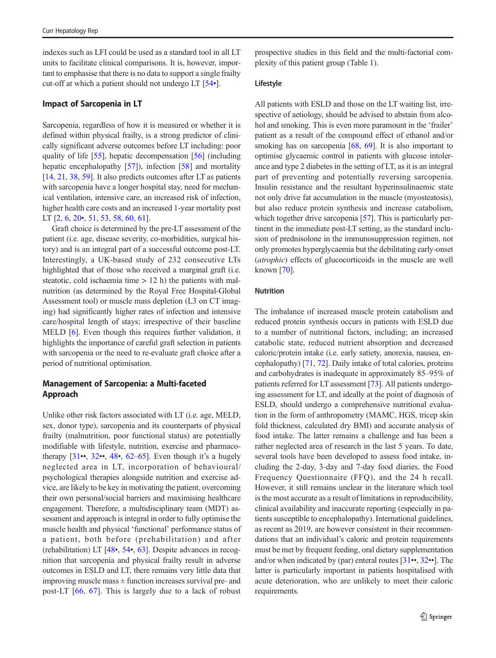indexes such as LFI could be used as a standard tool in all LT units to facilitate clinical comparisons. It is, however, important to emphasise that there is no data to support a single frailty cut-off at which a patient should not undergo LT [\[54](#page-9-0)•].

#### Impact of Sarcopenia in LT

Sarcopenia, regardless of how it is measured or whether it is defined within physical frailty, is a strong predictor of clinically significant adverse outcomes before LT including: poor quality of life [[55](#page-9-0)], hepatic decompensation [[56\]](#page-9-0) (including hepatic encephalopathy [[57\]](#page-9-0)), infection [[58\]](#page-9-0) and mortality [\[14,](#page-8-0) [21,](#page-8-0) [38](#page-8-0), [59](#page-9-0)]. It also predicts outcomes after LT as patients with sarcopenia have a longer hospital stay, need for mechanical ventilation, intensive care, an increased risk of infection, higher health care costs and an increased 1-year mortality post LT  $[2, 6, 20, 51, 53, 58, 60, 61]$  $[2, 6, 20, 51, 53, 58, 60, 61]$  $[2, 6, 20, 51, 53, 58, 60, 61]$  $[2, 6, 20, 51, 53, 58, 60, 61]$  $[2, 6, 20, 51, 53, 58, 60, 61]$  $[2, 6, 20, 51, 53, 58, 60, 61]$  $[2, 6, 20, 51, 53, 58, 60, 61]$  $[2, 6, 20, 51, 53, 58, 60, 61]$  $[2, 6, 20, 51, 53, 58, 60, 61]$  $[2, 6, 20, 51, 53, 58, 60, 61]$  $[2, 6, 20, 51, 53, 58, 60, 61]$  $[2, 6, 20, 51, 53, 58, 60, 61]$  $[2, 6, 20, 51, 53, 58, 60, 61]$  $[2, 6, 20, 51, 53, 58, 60, 61]$  $[2, 6, 20, 51, 53, 58, 60, 61]$  $[2, 6, 20, 51, 53, 58, 60, 61]$  $[2, 6, 20, 51, 53, 58, 60, 61]$ .

Graft choice is determined by the pre-LT assessment of the patient (i.e. age, disease severity, co-morbidities, surgical history) and is an integral part of a successful outcome post-LT. Interestingly, a UK-based study of 232 consecutive LTs highlighted that of those who received a marginal graft (i.e. steatotic, cold ischaemia time  $> 12$  h) the patients with malnutrition (as determined by the Royal Free Hospital-Global Assessment tool) or muscle mass depletion (L3 on CT imaging) had significantly higher rates of infection and intensive care/hospital length of stays; irrespective of their baseline MELD [[6\]](#page-7-0). Even though this requires further validation, it highlights the importance of careful graft selection in patients with sarcopenia or the need to re-evaluate graft choice after a period of nutritional optimisation.

#### Management of Sarcopenia: a Multi-faceted Approach

Unlike other risk factors associated with LT (i.e. age, MELD, sex, donor type), sarcopenia and its counterparts of physical frailty (malnutrition, poor functional status) are potentially modifiable with lifestyle, nutrition, exercise and pharmacotherapy  $[31\bullet, 32\bullet, 48\bullet, 62-65]$  $[31\bullet, 32\bullet, 48\bullet, 62-65]$  $[31\bullet, 32\bullet, 48\bullet, 62-65]$  $[31\bullet, 32\bullet, 48\bullet, 62-65]$  $[31\bullet, 32\bullet, 48\bullet, 62-65]$  $[31\bullet, 32\bullet, 48\bullet, 62-65]$  $[31\bullet, 32\bullet, 48\bullet, 62-65]$  $[31\bullet, 32\bullet, 48\bullet, 62-65]$  $[31\bullet, 32\bullet, 48\bullet, 62-65]$  $[31\bullet, 32\bullet, 48\bullet, 62-65]$ . Even though it's a hugely neglected area in LT, incorporation of behavioural/ psychological therapies alongside nutrition and exercise advice, are likely to be key in motivating the patient, overcoming their own personal/social barriers and maximising healthcare engagement. Therefore, a multidisciplinary team (MDT) assessment and approach is integral in order to fully optimise the muscle health and physical 'functional' performance status of a patient, both before (prehabilitation) and after (rehabilitation) LT [\[48](#page-9-0)•, [54](#page-9-0)•, [63\]](#page-9-0). Despite advances in recognition that sarcopenia and physical frailty result in adverse outcomes in ESLD and LT, there remains very little data that improving muscle mass  $\pm$  function increases survival pre- and post-LT [\[66](#page-9-0), [67](#page-9-0)]. This is largely due to a lack of robust

prospective studies in this field and the multi-factorial complexity of this patient group (Table [1](#page-4-0)).

#### Lifestyle

All patients with ESLD and those on the LT waiting list, irrespective of aetiology, should be advised to abstain from alcohol and smoking. This is even more paramount in the 'frailer' patient as a result of the compound effect of ethanol and/or smoking has on sarcopenia [[68](#page-9-0), [69](#page-9-0)]. It is also important to optimise glycaemic control in patients with glucose intolerance and type 2 diabetes in the setting of LT, as it is an integral part of preventing and potentially reversing sarcopenia. Insulin resistance and the resultant hyperinsulinaemic state not only drive fat accumulation in the muscle (myosteatosis), but also reduce protein synthesis and increase catabolism, which together drive sarcopenia [[57](#page-9-0)]. This is particularly pertinent in the immediate post-LT setting, as the standard inclusion of prednisolone in the immunosuppression regimen, not only promotes hyperglycaemia but the debilitating early-onset (atrophic) effects of glucocorticoids in the muscle are well known [[70](#page-9-0)].

#### **Nutrition**

The imbalance of increased muscle protein catabolism and reduced protein synthesis occurs in patients with ESLD due to a number of nutritional factors, including; an increased catabolic state, reduced nutrient absorption and decreased caloric/protein intake (i.e. early satiety, anorexia, nausea, encephalopathy) [\[71](#page-9-0), [72\]](#page-9-0). Daily intake of total calories, proteins and carbohydrates is inadequate in approximately 85–95% of patients referred for LT assessment [\[73\]](#page-9-0). All patients undergoing assessment for LT, and ideally at the point of diagnosis of ESLD, should undergo a comprehensive nutritional evaluation in the form of anthropometry (MAMC, HGS, tricep skin fold thickness, calculated dry BMI) and accurate analysis of food intake. The latter remains a challenge and has been a rather neglected area of research in the last 5 years. To date, several tools have been developed to assess food intake, including the 2-day, 3-day and 7-day food diaries, the Food Frequency Questionnaire (FFQ), and the 24 h recall. However, it still remains unclear in the literature which tool is the most accurate as a result of limitations in reproducibility, clinical availability and inaccurate reporting (especially in patients susceptible to encephalopathy). International guidelines, as recent as 2019, are however consistent in their recommendations that an individual's caloric and protein requirements must be met by frequent feeding, oral dietary supplementation and/or when indicated by (par) enteral routes [[31](#page-8-0)••, [32](#page-8-0)••]. The latter is particularly important in patients hospitalised with acute deterioration, who are unlikely to meet their caloric requirements.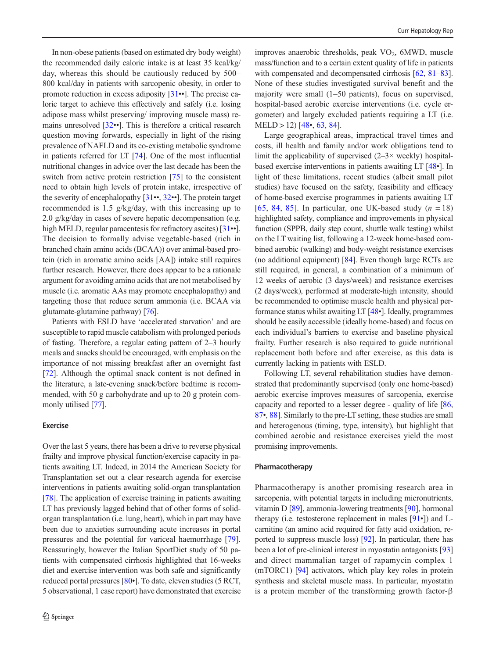In non-obese patients (based on estimated dry body weight) the recommended daily caloric intake is at least 35 kcal/kg/ day, whereas this should be cautiously reduced by 500– 800 kcal/day in patients with sarcopenic obesity, in order to promote reduction in excess adiposity [[31](#page-8-0)••]. The precise caloric target to achieve this effectively and safely (i.e. losing adipose mass whilst preserving/ improving muscle mass) remains unresolved [\[32](#page-8-0)••]. This is therefore a critical research question moving forwards, especially in light of the rising prevalence of NAFLD and its co-existing metabolic syndrome in patients referred for LT [[74](#page-10-0)]. One of the most influential nutritional changes in advice over the last decade has been the switch from active protein restriction [[75\]](#page-10-0) to the consistent need to obtain high levels of protein intake, irrespective of the severity of encephalopathy [[31](#page-8-0)••, [32](#page-8-0)••]. The protein target recommended is 1.5 g/kg/day, with this increasing up to 2.0 g/kg/day in cases of severe hepatic decompensation (e.g. high MELD, regular paracentesis for refractory ascites) [\[31](#page-8-0)••]. The decision to formally advise vegetable-based (rich in branched chain amino acids (BCAA)) over animal-based protein (rich in aromatic amino acids [AA]) intake still requires further research. However, there does appear to be a rationale argument for avoiding amino acids that are not metabolised by muscle (i.e. aromatic AAs may promote encephalopathy) and targeting those that reduce serum ammonia (i.e. BCAA via glutamate-glutamine pathway) [\[76](#page-10-0)].

Patients with ESLD have 'accelerated starvation' and are susceptible to rapid muscle catabolism with prolonged periods of fasting. Therefore, a regular eating pattern of 2–3 hourly meals and snacks should be encouraged, with emphasis on the importance of not missing breakfast after an overnight fast [\[72](#page-9-0)]. Although the optimal snack content is not defined in the literature, a late-evening snack/before bedtime is recommended, with 50 g carbohydrate and up to 20 g protein commonly utilised [[77](#page-10-0)].

#### Exercise

Over the last 5 years, there has been a drive to reverse physical frailty and improve physical function/exercise capacity in patients awaiting LT. Indeed, in 2014 the American Society for Transplantation set out a clear research agenda for exercise interventions in patients awaiting solid-organ transplantation [\[78\]](#page-10-0). The application of exercise training in patients awaiting LT has previously lagged behind that of other forms of solidorgan transplantation (i.e. lung, heart), which in part may have been due to anxieties surrounding acute increases in portal pressures and the potential for variceal haemorrhage [\[79](#page-10-0)]. Reassuringly, however the Italian SportDiet study of 50 patients with compensated cirrhosis highlighted that 16-weeks diet and exercise intervention was both safe and significantly reduced portal pressures [\[80](#page-10-0)•]. To date, eleven studies (5 RCT, 5 observational, 1 case report) have demonstrated that exercise

improves anaerobic thresholds, peak  $VO<sub>2</sub>$ , 6MWD, muscle mass/function and to a certain extent quality of life in patients with compensated and decompensated cirrhosis [\[62,](#page-9-0) [81](#page-10-0)–[83\]](#page-10-0). None of these studies investigated survival benefit and the majority were small (1–50 patients), focus on supervised, hospital-based aerobic exercise interventions (i.e. cycle ergometer) and largely excluded patients requiring a LT (i.e.  $MELD > 12$  [\[48](#page-9-0)•, [63,](#page-9-0) [84\]](#page-10-0).

Large geographical areas, impractical travel times and costs, ill health and family and/or work obligations tend to limit the applicability of supervised  $(2-3\times$  weekly) hospitalbased exercise interventions in patients awaiting LT [[48](#page-9-0)•]. In light of these limitations, recent studies (albeit small pilot studies) have focused on the safety, feasibility and efficacy of home-based exercise programmes in patients awaiting LT [\[65,](#page-9-0) [84,](#page-10-0) [85](#page-10-0)]. In particular, one UK-based study  $(n = 18)$ highlighted safety, compliance and improvements in physical function (SPPB, daily step count, shuttle walk testing) whilst on the LT waiting list, following a 12-week home-based combined aerobic (walking) and body-weight resistance exercises (no additional equipment) [[84\]](#page-10-0). Even though large RCTs are still required, in general, a combination of a minimum of 12 weeks of aerobic (3 days/week) and resistance exercises (2 days/week), performed at moderate-high intensity, should be recommended to optimise muscle health and physical performance status whilst awaiting LT [[48](#page-9-0)•]. Ideally, programmes should be easily accessible (ideally home-based) and focus on each individual's barriers to exercise and baseline physical frailty. Further research is also required to guide nutritional replacement both before and after exercise, as this data is currently lacking in patients with ESLD.

Following LT, several rehabilitation studies have demonstrated that predominantly supervised (only one home-based) aerobic exercise improves measures of sarcopenia, exercise capacity and reported to a lesser degree - quality of life [\[86,](#page-10-0) [87](#page-10-0)•, [88](#page-10-0)]. Similarly to the pre-LT setting, these studies are small and heterogenous (timing, type, intensity), but highlight that combined aerobic and resistance exercises yield the most promising improvements.

#### Pharmacotherapy

Pharmacotherapy is another promising research area in sarcopenia, with potential targets in including micronutrients, vitamin D [\[89](#page-10-0)], ammonia-lowering treatments [\[90](#page-10-0)], hormonal therapy (i.e. testosterone replacement in males [\[91](#page-10-0)•]) and Lcarnitine (an amino acid required for fatty acid oxidation, reported to suppress muscle loss) [[92\]](#page-10-0). In particular, there has been a lot of pre-clinical interest in myostatin antagonists [\[93](#page-10-0)] and direct mammalian target of rapamycin complex 1 (mTORC1) [[94\]](#page-10-0) activators, which play key roles in protein synthesis and skeletal muscle mass. In particular, myostatin is a protein member of the transforming growth factor-β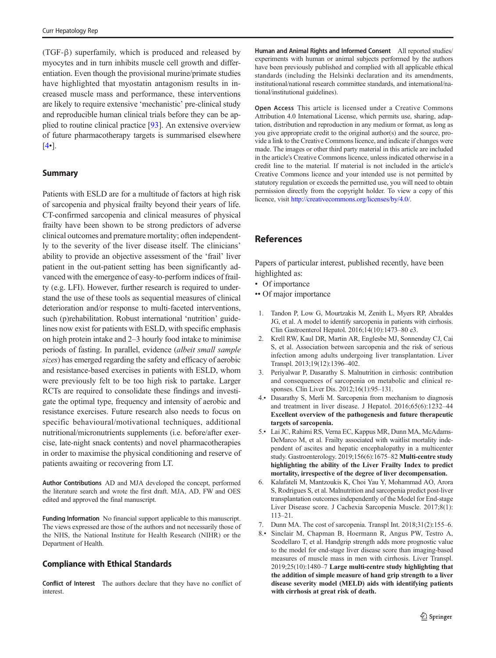<span id="page-7-0"></span>(TGF-β) superfamily, which is produced and released by myocytes and in turn inhibits muscle cell growth and differentiation. Even though the provisional murine/primate studies have highlighted that myostatin antagonism results in increased muscle mass and performance, these interventions are likely to require extensive 'mechanistic' pre-clinical study and reproducible human clinical trials before they can be applied to routine clinical practice [[93\]](#page-10-0). An extensive overview of future pharmacotherapy targets is summarised elsewhere [4•].

#### Summary

Patients with ESLD are for a multitude of factors at high risk of sarcopenia and physical frailty beyond their years of life. CT-confirmed sarcopenia and clinical measures of physical frailty have been shown to be strong predictors of adverse clinical outcomes and premature mortality; often independently to the severity of the liver disease itself. The clinicians' ability to provide an objective assessment of the 'frail' liver patient in the out-patient setting has been significantly advanced with the emergence of easy-to-perform indices of frailty (e.g. LFI). However, further research is required to understand the use of these tools as sequential measures of clinical deterioration and/or response to multi-faceted interventions, such (p)rehabilitation. Robust international 'nutrition' guidelines now exist for patients with ESLD, with specific emphasis on high protein intake and 2–3 hourly food intake to minimise periods of fasting. In parallel, evidence (albeit small sample sizes) has emerged regarding the safety and efficacy of aerobic and resistance-based exercises in patients with ESLD, whom were previously felt to be too high risk to partake. Larger RCTs are required to consolidate these findings and investigate the optimal type, frequency and intensity of aerobic and resistance exercises. Future research also needs to focus on specific behavioural/motivational techniques, additional nutritional/micronutrients supplements (i.e. before/after exercise, late-night snack contents) and novel pharmacotherapies in order to maximise the physical conditioning and reserve of patients awaiting or recovering from LT.

Author Contributions AD and MJA developed the concept, performed the literature search and wrote the first draft. MJA, AD, FW and OES edited and approved the final manuscript.

Funding Information No financial support applicable to this manuscript. The views expressed are those of the authors and not necessarily those of the NHS, the National Institute for Health Research (NIHR) or the Department of Health.

#### Compliance with Ethical Standards

Conflict of Interest The authors declare that they have no conflict of interest.

Human and Animal Rights and Informed Consent All reported studies/ experiments with human or animal subjects performed by the authors have been previously published and complied with all applicable ethical standards (including the Helsinki declaration and its amendments, institutional/national research committee standards, and international/national/institutional guidelines).

Open Access This article is licensed under a Creative Commons Attribution 4.0 International License, which permits use, sharing, adaptation, distribution and reproduction in any medium or format, as long as you give appropriate credit to the original author(s) and the source, provide a link to the Creative Commons licence, and indicate if changes were made. The images or other third party material in this article are included in the article's Creative Commons licence, unless indicated otherwise in a credit line to the material. If material is not included in the article's Creative Commons licence and your intended use is not permitted by statutory regulation or exceeds the permitted use, you will need to obtain permission directly from the copyright holder. To view a copy of this licence, visit <http://creativecommons.org/licenses/by/4.0/>.

#### References

Papers of particular interest, published recently, have been highlighted as:

- Of importance
- •• Of major importance
- 1. Tandon P, Low G, Mourtzakis M, Zenith L, Myers RP, Abraldes JG, et al. A model to identify sarcopenia in patients with cirrhosis. Clin Gastroenterol Hepatol. 2016;14(10):1473–80 e3.
- 2. Krell RW, Kaul DR, Martin AR, Englesbe MJ, Sonnenday CJ, Cai S, et al. Association between sarcopenia and the risk of serious infection among adults undergoing liver transplantation. Liver Transpl. 2013;19(12):1396–402.
- 3. Periyalwar P, Dasarathy S. Malnutrition in cirrhosis: contribution and consequences of sarcopenia on metabolic and clinical responses. Clin Liver Dis. 2012;16(1):95–131.
- 4.• Dasarathy S, Merli M. Sarcopenia from mechanism to diagnosis and treatment in liver disease. J Hepatol. 2016;65(6):1232–44 Excellent overview of the pathogenesis and future therapeutic targets of sarcopenia.
- 5.• Lai JC, Rahimi RS, Verna EC, Kappus MR, Dunn MA, McAdams-DeMarco M, et al. Frailty associated with waitlist mortality independent of ascites and hepatic encephalopathy in a multicenter study. Gastroenterology. 2019;156(6):1675–82 Multi-centre study highlighting the ability of the Liver Frailty Index to predict mortality, irrespective of the degree of liver decompensation.
- 6. Kalafateli M, Mantzoukis K, Choi Yau Y, Mohammad AO, Arora S, Rodrigues S, et al. Malnutrition and sarcopenia predict post-liver transplantation outcomes independently of the Model for End-stage Liver Disease score. J Cachexia Sarcopenia Muscle. 2017;8(1): 113–21.
- 7. Dunn MA. The cost of sarcopenia. Transpl Int. 2018;31(2):155–6.
- 8.• Sinclair M, Chapman B, Hoermann R, Angus PW, Testro A, Scodellaro T, et al. Handgrip strength adds more prognostic value to the model for end-stage liver disease score than imaging-based measures of muscle mass in men with cirrhosis. Liver Transpl. 2019;25(10):1480–7 Large multi-centre study highlighting that the addition of simple measure of hand grip strength to a liver disease severity model (MELD) aids with identifying patients with cirrhosis at great risk of death.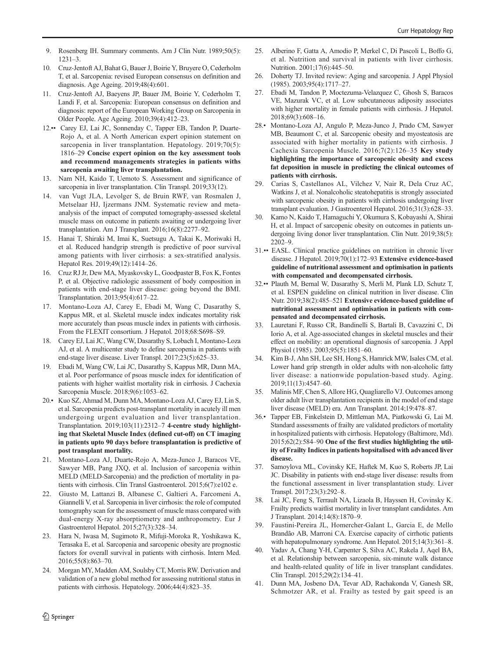- <span id="page-8-0"></span>9. Rosenberg IH. Summary comments. Am J Clin Nutr. 1989;50(5): 1231–3.
- 10. Cruz-Jentoft AJ, Bahat G, Bauer J, Boirie Y, Bruyere O, Cederholm T, et al. Sarcopenia: revised European consensus on definition and diagnosis. Age Ageing. 2019;48(4):601.
- 11. Cruz-Jentoft AJ, Baeyens JP, Bauer JM, Boirie Y, Cederholm T, Landi F, et al. Sarcopenia: European consensus on definition and diagnosis: report of the European Working Group on Sarcopenia in Older People. Age Ageing. 2010;39(4):412–23.
- 12.•• Carey EJ, Lai JC, Sonnenday C, Tapper EB, Tandon P, Duarte-Rojo A, et al. A North American expert opinion statement on sarcopenia in liver transplantation. Hepatology. 2019;70(5): 1816–29 Concise expert opinion on the key assessment tools and recommend managements strategies in patients withs sarcopenia awaiting liver transplantation.
- 13. Nam NH, Kaido T, Uemoto S. Assessment and significance of sarcopenia in liver transplantation. Clin Transpl. 2019;33(12).
- 14. van Vugt JLA, Levolger S, de Bruin RWF, van Rosmalen J, Metselaar HJ, Ijzermans JNM. Systematic review and metaanalysis of the impact of computed tomography-assessed skeletal muscle mass on outcome in patients awaiting or undergoing liver transplantation. Am J Transplant. 2016;16(8):2277–92.
- 15. Hanai T, Shiraki M, Imai K, Suetsugu A, Takai K, Moriwaki H, et al. Reduced handgrip strength is predictive of poor survival among patients with liver cirrhosis: a sex-stratified analysis. Hepatol Res. 2019;49(12):1414–26.
- 16. Cruz RJ Jr, Dew MA, Myaskovsky L, Goodpaster B, Fox K, Fontes P, et al. Objective radiologic assessment of body composition in patients with end-stage liver disease: going beyond the BMI. Transplantation. 2013;95(4):617–22.
- 17. Montano-Loza AJ, Carey E, Ebadi M, Wang C, Dasarathy S, Kappus MR, et al. Skeletal muscle index indicates mortality risk more accurately than psoas muscle index in patients with cirrhosis. From the FLEXIT consortium. J Hepatol. 2018;68:S698–S9.
- 18. Carey EJ, Lai JC, Wang CW, Dasarathy S, Lobach I, Montano-Loza AJ, et al. A multicenter study to define sarcopenia in patients with end-stage liver disease. Liver Transpl. 2017;23(5):625–33.
- 19. Ebadi M, Wang CW, Lai JC, Dasarathy S, Kappus MR, Dunn MA, et al. Poor performance of psoas muscle index for identification of patients with higher waitlist mortality risk in cirrhosis. J Cachexia Sarcopenia Muscle. 2018;9(6):1053–62.
- 20.• Kuo SZ, Ahmad M, Dunn MA, Montano-Loza AJ, Carey EJ, Lin S, et al. Sarcopenia predicts post-transplant mortality in acutely ill men undergoing urgent evaluation and liver transplantation. Transplantation. 2019;103(11):2312–7 4-centre study highlighting that Skeletal Muscle Index (defined cut-off) on CT imaging in patients upto 90 days before transplantation is predictive of post transplant mortality.
- 21. Montano-Loza AJ, Duarte-Rojo A, Meza-Junco J, Baracos VE, Sawyer MB, Pang JXQ, et al. Inclusion of sarcopenia within MELD (MELD-Sarcopenia) and the prediction of mortality in patients with cirrhosis. Clin Transl Gastroenterol. 2015;6(7):e102 e.
- 22. Giusto M, Lattanzi B, Albanese C, Galtieri A, Farcomeni A, Giannelli V, et al. Sarcopenia in liver cirrhosis: the role of computed tomography scan for the assessment of muscle mass compared with dual-energy X-ray absorptiometry and anthropometry. Eur J Gastroenterol Hepatol. 2015;27(3):328–34.
- 23. Hara N, Iwasa M, Sugimoto R, Mifuji-Moroka R, Yoshikawa K, Terasaka E, et al. Sarcopenia and sarcopenic obesity are prognostic factors for overall survival in patients with cirrhosis. Intern Med. 2016;55(8):863–70.
- 24. Morgan MY, Madden AM, Soulsby CT, Morris RW. Derivation and validation of a new global method for assessing nutritional status in patients with cirrhosis. Hepatology. 2006;44(4):823–35.
- 25. Alberino F, Gatta A, Amodio P, Merkel C, Di Pascoli L, Boffo G, et al. Nutrition and survival in patients with liver cirrhosis. Nutrition. 2001;17(6):445–50.
- 26. Doherty TJ. Invited review: Aging and sarcopenia. J Appl Physiol (1985). 2003;95(4):1717–27.
- 27. Ebadi M, Tandon P, Moctezuma-Velazquez C, Ghosh S, Baracos VE, Mazurak VC, et al. Low subcutaneous adiposity associates with higher mortality in female patients with cirrhosis. J Hepatol. 2018;69(3):608–16.
- 28.• Montano-Loza AJ, Angulo P, Meza-Junco J, Prado CM, Sawyer MB, Beaumont C, et al. Sarcopenic obesity and myosteatosis are associated with higher mortality in patients with cirrhosis. J Cachexia Sarcopenia Muscle. 2016;7(2):126–35 Key study highlighting the importance of sarcopenic obesity and excess fat deposition in muscle in predicting the clinical outcomes of patients with cirrhosis.
- 29. Carias S, Castellanos AL, Vilchez V, Nair R, Dela Cruz AC, Watkins J, et al. Nonalcoholic steatohepatitis is strongly associated with sarcopenic obesity in patients with cirrhosis undergoing liver transplant evaluation. J Gastroenterol Hepatol. 2016;31(3):628–33.
- 30. Kamo N, Kaido T, Hamaguchi Y, Okumura S, Kobayashi A, Shirai H, et al. Impact of sarcopenic obesity on outcomes in patients undergoing living donor liver transplantation. Clin Nutr. 2019;38(5): 2202–9.
- 31.•• EASL. Clinical practice guidelines on nutrition in chronic liver disease. J Hepatol. 2019;70(1):172–93 Extensive evidence-based guideline of nutritional assessment and optimisation in patients with compensated and decompensated cirrhosis.
- 32.•• Plauth M, Bernal W, Dasarathy S, Merli M, Plank LD, Schutz T, et al. ESPEN guideline on clinical nutrition in liver disease. Clin Nutr. 2019;38(2):485–521 Extensive evidence-based guideline of nutritional assessment and optimisation in patients with compensated and decompensated cirrhosis.
- 33. Lauretani F, Russo CR, Bandinelli S, Bartali B, Cavazzini C, Di Iorio A, et al. Age-associated changes in skeletal muscles and their effect on mobility: an operational diagnosis of sarcopenia. J Appl Physiol (1985). 2003;95(5):1851–60.
- 34. Kim B-J, Ahn SH, Lee SH, Hong S, Hamrick MW, Isales CM, et al. Lower hand grip strength in older adults with non-alcoholic fatty liver disease: a nationwide population-based study. Aging. 2019;11(13):4547–60.
- 35. Malinis MF, Chen S, Allore HG, Quagliarello VJ. Outcomes among older adult liver transplantation recipients in the model of end stage liver disease (MELD) era. Ann Transplant. 2014;19:478–87.
- 36.• Tapper EB, Finkelstein D, Mittleman MA, Piatkowski G, Lai M. Standard assessments of frailty are validated predictors of mortality in hospitalized patients with cirrhosis. Hepatology (Baltimore, Md). 2015;62(2):584–90 One of the first studies highlighting the utility of Frailty Indices in patients hopsitalised with advanced liver disease.
- Samoylova ML, Covinsky KE, Haftek M, Kuo S, Roberts JP, Lai JC. Disability in patients with end-stage liver disease: results from the functional assessment in liver transplantation study. Liver Transpl. 2017;23(3):292–8.
- 38. Lai JC, Feng S, Terrault NA, Lizaola B, Hayssen H, Covinsky K. Frailty predicts waitlist mortality in liver transplant candidates. Am J Transplant. 2014;14(8):1870–9.
- 39. Faustini-Pereira JL, Homercher-Galant L, Garcia E, de Mello Brandão AB, Marroni CA. Exercise capacity of cirrhotic patients with hepatopulmonary syndrome. Ann Hepatol. 2015;14(3):361–8.
- Yadav A, Chang Y-H, Carpenter S, Silva AC, Rakela J, Aqel BA, et al. Relationship between sarcopenia, six-minute walk distance and health-related quality of life in liver transplant candidates. Clin Transpl. 2015;29(2):134–41.
- 41. Dunn MA, Josbeno DA, Tevar AD, Rachakonda V, Ganesh SR, Schmotzer AR, et al. Frailty as tested by gait speed is an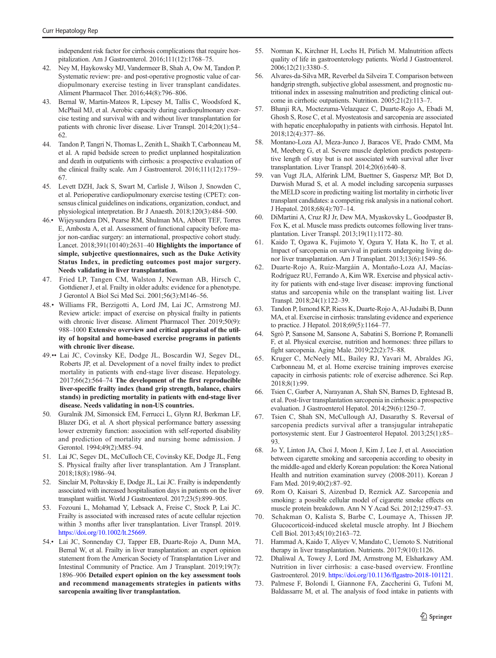<span id="page-9-0"></span>independent risk factor for cirrhosis complications that require hospitalization. Am J Gastroenterol. 2016;111(12):1768–75.

- 42. Ney M, Haykowsky MJ, Vandermeer B, Shah A, Ow M, Tandon P. Systematic review: pre- and post-operative prognostic value of cardiopulmonary exercise testing in liver transplant candidates. Aliment Pharmacol Ther. 2016;44(8):796–806.
- 43. Bernal W, Martin-Mateos R, Lipcsey M, Tallis C, Woodsford K, McPhail MJ, et al. Aerobic capacity during cardiopulmonary exercise testing and survival with and without liver transplantation for patients with chronic liver disease. Liver Transpl. 2014;20(1):54– 62.
- 44. Tandon P, Tangri N, Thomas L, Zenith L, Shaikh T, Carbonneau M, et al. A rapid bedside screen to predict unplanned hospitalization and death in outpatients with cirrhosis: a prospective evaluation of the clinical frailty scale. Am J Gastroenterol. 2016;111(12):1759– 67.
- 45. Levett DZH, Jack S, Swart M, Carlisle J, Wilson J, Snowden C, et al. Perioperative cardiopulmonary exercise testing (CPET): consensus clinical guidelines on indications, organization, conduct, and physiological interpretation. Br J Anaesth. 2018;120(3):484–500.
- 46.• Wijeysundera DN, Pearse RM, Shulman MA, Abbott TEF, Torres E, Ambosta A, et al. Assessment of functional capacity before major non-cardiac surgery: an international, prospective cohort study. Lancet. 2018;391(10140):2631–40 Highlights the importance of simple, subjective questionnaires, such as the Duke Activity Status Index, in predicting outcomes post major surgery. Needs validating in liver transplantation.
- 47. Fried LP, Tangen CM, Walston J, Newman AB, Hirsch C, Gottdiener J, et al. Frailty in older adults: evidence for a phenotype. J Gerontol A Biol Sci Med Sci. 2001;56(3):M146–56.
- 48.• Williams FR, Berzigotti A, Lord JM, Lai JC, Armstrong MJ. Review article: impact of exercise on physical frailty in patients with chronic liver disease. Aliment Pharmacol Ther. 2019;50(9): 988–1000 Extensive overview and critical appraisal of the utility of hopsital and home-based exercise programs in patients with chronic liver disease.
- 49.•• Lai JC, Covinsky KE, Dodge JL, Boscardin WJ, Segev DL, Roberts JP, et al. Development of a novel frailty index to predict mortality in patients with end-stage liver disease. Hepatology. 2017;66(2):564–74 The development of the first reproducible liver-specific frailty index (hand grip strength, balance, chairs stands) in predicting mortality in patients with end-stage liver disease. Needs validating in non-US countries.
- 50. Guralnik JM, Simonsick EM, Ferrucci L, Glynn RJ, Berkman LF, Blazer DG, et al. A short physical performance battery assessing lower extremity function: association with self-reported disability and prediction of mortality and nursing home admission. J Gerontol. 1994;49(2):M85–94.
- 51. Lai JC, Segev DL, McCulloch CE, Covinsky KE, Dodge JL, Feng S. Physical frailty after liver transplantation. Am J Transplant. 2018;18(8):1986–94.
- 52. Sinclair M, Poltavskiy E, Dodge JL, Lai JC. Frailty is independently associated with increased hospitalisation days in patients on the liver transplant waitlist. World J Gastroenterol. 2017;23(5):899–905.
- 53. Fozouni L, Mohamad Y, Lebsack A, Freise C, Stock P, Lai JC. Frailty is associated with increased rates of acute cellular rejection within 3 months after liver transplantation. Liver Transpl. 2019. [https://doi.org/10.1002/lt.25669](http://creativecommons.org/licenses/by/4.0/).
- 54.• Lai JC, Sonnenday CJ, Tapper EB, Duarte-Rojo A, Dunn MA, Bernal W, et al. Frailty in liver transplantation: an expert opinion statement from the American Society of Transplantation Liver and Intestinal Community of Practice. Am J Transplant. 2019;19(7): 1896–906 Detailed expert opinion on the key assessment tools and recommend managements strategies in patients withs sarcopenia awaiting liver transplantation.
- 55. Norman K, Kirchner H, Lochs H, Pirlich M. Malnutrition affects quality of life in gastroenterology patients. World J Gastroenterol. 2006;12(21):3380–5.
- 56. Alvares-da-Silva MR, Reverbel da Silveira T. Comparison between handgrip strength, subjective global assessment, and prognostic nutritional index in assessing malnutrition and predicting clinical outcome in cirrhotic outpatients. Nutrition. 2005;21(2):113–7.
- 57. Bhanji RA, Moctezuma-Velazquez C, Duarte-Rojo A, Ebadi M, Ghosh S, Rose C, et al. Myosteatosis and sarcopenia are associated with hepatic encephalopathy in patients with cirrhosis. Hepatol Int. 2018;12(4):377–86.
- 58. Montano-Loza AJ, Meza-Junco J, Baracos VE, Prado CMM, Ma M, Meeberg G, et al. Severe muscle depletion predicts postoperative length of stay but is not associated with survival after liver transplantation. Liver Transpl. 2014;20(6):640–8.
- 59. van Vugt JLA, Alferink LJM, Buettner S, Gaspersz MP, Bot D, Darwish Murad S, et al. A model including sarcopenia surpasses the MELD score in predicting waiting list mortality in cirrhotic liver transplant candidates: a competing risk analysis in a national cohort. J Hepatol. 2018;68(4):707–14.
- 60. DiMartini A, Cruz RJ Jr, Dew MA, Myaskovsky L, Goodpaster B, Fox K, et al. Muscle mass predicts outcomes following liver transplantation. Liver Transpl. 2013;19(11):1172–80.
- 61. Kaido T, Ogawa K, Fujimoto Y, Ogura Y, Hata K, Ito T, et al. Impact of sarcopenia on survival in patients undergoing living donor liver transplantation. Am J Transplant. 2013;13(6):1549–56.
- 62. Duarte-Rojo A, Ruiz-Margáin A, Montaño-Loza AJ, Macías-Rodríguez RU, Ferrando A, Kim WR. Exercise and physical activity for patients with end-stage liver disease: improving functional status and sarcopenia while on the transplant waiting list. Liver Transpl. 2018;24(1):122–39.
- 63. Tandon P, Ismond KP, Riess K, Duarte-Rojo A, Al-Judaibi B, Dunn MA, et al. Exercise in cirrhosis: translating evidence and experience to practice. J Hepatol. 2018;69(5):1164–77.
- 64. Sgrò P, Sansone M, Sansone A, Sabatini S, Borrione P, Romanelli F, et al. Physical exercise, nutrition and hormones: three pillars to fight sarcopenia. Aging Male. 2019;22(2):75–88.
- 65. Kruger C, McNeely ML, Bailey RJ, Yavari M, Abraldes JG, Carbonneau M, et al. Home exercise training improves exercise capacity in cirrhosis patients: role of exercise adherence. Sci Rep. 2018;8(1):99.
- 66. Tsien C, Garber A, Narayanan A, Shah SN, Barnes D, Eghtesad B, et al. Post-liver transplantation sarcopenia in cirrhosis: a prospective evaluation. J Gastroenterol Hepatol. 2014;29(6):1250–7.
- 67. Tsien C, Shah SN, McCullough AJ, Dasarathy S. Reversal of sarcopenia predicts survival after a transjugular intrahepatic portosystemic stent. Eur J Gastroenterol Hepatol. 2013;25(1):85– 93.
- 68. Jo Y, Linton JA, Choi J, Moon J, Kim J, Lee J, et al. Association between cigarette smoking and sarcopenia according to obesity in the middle-aged and elderly Korean population: the Korea National Health and nutrition examination survey (2008-2011). Korean J Fam Med. 2019;40(2):87–92.
- 69. Rom O, Kaisari S, Aizenbud D, Reznick AZ. Sarcopenia and smoking: a possible cellular model of cigarette smoke effects on muscle protein breakdown. Ann N Y Acad Sci. 2012;1259:47–53.
- 70. Schakman O, Kalista S, Barbe C, Loumaye A, Thissen JP. Glucocorticoid-induced skeletal muscle atrophy. Int J Biochem Cell Biol. 2013;45(10):2163–72.
- 71. Hammad A, Kaido T, Aliyev V, Mandato C, Uemoto S. Nutritional therapy in liver transplantation. Nutrients. 2017;9(10):1126.
- 72. Dhaliwal A, Towey J, Lord JM, Armstrong M, Elsharkawy AM. Nutrition in liver cirrhosis: a case-based overview. Frontline Gastroenterol. 2019. <https://doi.org/10.1136/flgastro-2018-101121>.
- 73. Palmese F, Bolondi I, Giannone FA, Zaccherini G, Tufoni M, Baldassarre M, et al. The analysis of food intake in patients with